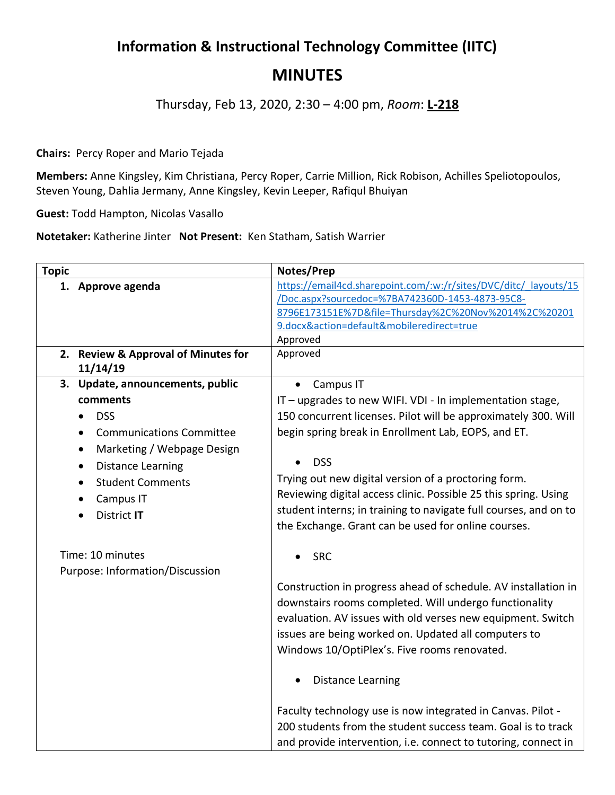## **Information & Instructional Technology Committee (IITC) MINUTES**

Thursday, Feb 13, 2020, 2:30 – 4:00 pm, *Room*: **L-218**

**Chairs:** Percy Roper and Mario Tejada

**Members:** Anne Kingsley, Kim Christiana, Percy Roper, Carrie Million, Rick Robison, Achilles Speliotopoulos, Steven Young, Dahlia Jermany, Anne Kingsley, Kevin Leeper, Rafiqul Bhuiyan

**Guest:** Todd Hampton, Nicolas Vasallo

**Notetaker:** Katherine Jinter **Not Present:** Ken Statham, Satish Warrier

| <b>Topic</b> |                                                                                                               | Notes/Prep                                                                                                                                                                                                                                                                                      |
|--------------|---------------------------------------------------------------------------------------------------------------|-------------------------------------------------------------------------------------------------------------------------------------------------------------------------------------------------------------------------------------------------------------------------------------------------|
|              | 1. Approve agenda                                                                                             | https://email4cd.sharepoint.com/:w:/r/sites/DVC/ditc/ layouts/15<br>/Doc.aspx?sourcedoc=%7BA742360D-1453-4873-95C8-<br>8796E173151E%7D&file=Thursday%2C%20Nov%2014%2C%20201<br>9.docx&action=default&mobileredirect=true                                                                        |
|              |                                                                                                               | Approved                                                                                                                                                                                                                                                                                        |
|              | 2. Review & Approval of Minutes for<br>11/14/19                                                               | Approved                                                                                                                                                                                                                                                                                        |
|              | 3. Update, announcements, public                                                                              | Campus IT<br>$\bullet$                                                                                                                                                                                                                                                                          |
|              | comments                                                                                                      | IT - upgrades to new WIFI. VDI - In implementation stage,                                                                                                                                                                                                                                       |
| $\bullet$    | <b>DSS</b>                                                                                                    | 150 concurrent licenses. Pilot will be approximately 300. Will                                                                                                                                                                                                                                  |
| $\bullet$    | <b>Communications Committee</b>                                                                               | begin spring break in Enrollment Lab, EOPS, and ET.                                                                                                                                                                                                                                             |
| $\bullet$    | Marketing / Webpage Design<br><b>Distance Learning</b><br><b>Student Comments</b><br>Campus IT<br>District IT | <b>DSS</b><br>Trying out new digital version of a proctoring form.<br>Reviewing digital access clinic. Possible 25 this spring. Using<br>student interns; in training to navigate full courses, and on to<br>the Exchange. Grant can be used for online courses.                                |
|              | Time: 10 minutes<br>Purpose: Information/Discussion                                                           | <b>SRC</b>                                                                                                                                                                                                                                                                                      |
|              |                                                                                                               | Construction in progress ahead of schedule. AV installation in<br>downstairs rooms completed. Will undergo functionality<br>evaluation. AV issues with old verses new equipment. Switch<br>issues are being worked on. Updated all computers to<br>Windows 10/OptiPlex's. Five rooms renovated. |
|              |                                                                                                               | <b>Distance Learning</b>                                                                                                                                                                                                                                                                        |
|              |                                                                                                               | Faculty technology use is now integrated in Canvas. Pilot -<br>200 students from the student success team. Goal is to track<br>and provide intervention, i.e. connect to tutoring, connect in                                                                                                   |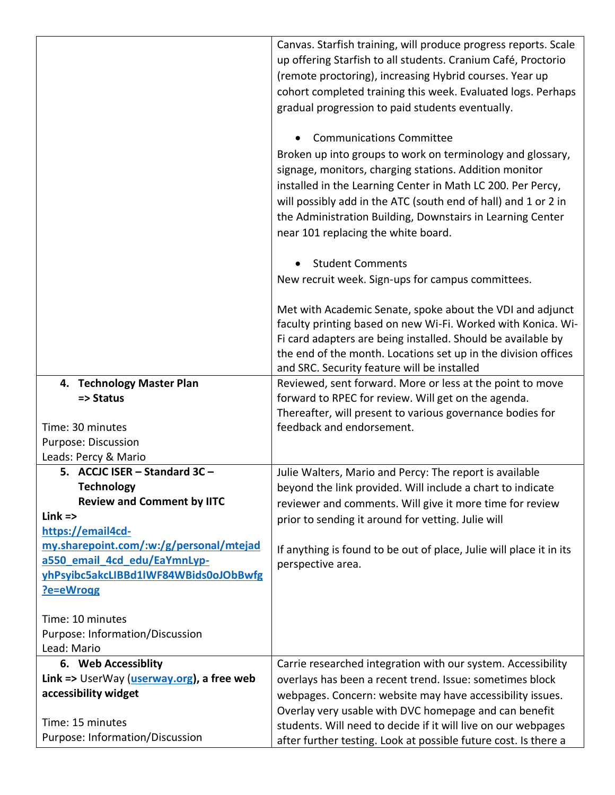|                                           | Canvas. Starfish training, will produce progress reports. Scale     |
|-------------------------------------------|---------------------------------------------------------------------|
|                                           | up offering Starfish to all students. Cranium Café, Proctorio       |
|                                           | (remote proctoring), increasing Hybrid courses. Year up             |
|                                           | cohort completed training this week. Evaluated logs. Perhaps        |
|                                           | gradual progression to paid students eventually.                    |
|                                           |                                                                     |
|                                           | <b>Communications Committee</b>                                     |
|                                           | Broken up into groups to work on terminology and glossary,          |
|                                           | signage, monitors, charging stations. Addition monitor              |
|                                           | installed in the Learning Center in Math LC 200. Per Percy,         |
|                                           | will possibly add in the ATC (south end of hall) and 1 or 2 in      |
|                                           | the Administration Building, Downstairs in Learning Center          |
|                                           | near 101 replacing the white board.                                 |
|                                           | <b>Student Comments</b>                                             |
|                                           | New recruit week. Sign-ups for campus committees.                   |
|                                           |                                                                     |
|                                           | Met with Academic Senate, spoke about the VDI and adjunct           |
|                                           | faculty printing based on new Wi-Fi. Worked with Konica. Wi-        |
|                                           | Fi card adapters are being installed. Should be available by        |
|                                           | the end of the month. Locations set up in the division offices      |
|                                           | and SRC. Security feature will be installed                         |
| 4. Technology Master Plan                 | Reviewed, sent forward. More or less at the point to move           |
| => Status                                 | forward to RPEC for review. Will get on the agenda.                 |
|                                           | Thereafter, will present to various governance bodies for           |
| Time: 30 minutes                          | feedback and endorsement.                                           |
| Purpose: Discussion                       |                                                                     |
| Leads: Percy & Mario                      |                                                                     |
| 5. ACCJC ISER - Standard 3C -             | Julie Walters, Mario and Percy: The report is available             |
| <b>Technology</b>                         | beyond the link provided. Will include a chart to indicate          |
| <b>Review and Comment by IITC</b>         | reviewer and comments. Will give it more time for review            |
| $Link =$                                  | prior to sending it around for vetting. Julie will                  |
| https://email4cd-                         |                                                                     |
| my.sharepoint.com/:w:/g/personal/mtejad   | If anything is found to be out of place, Julie will place it in its |
| a550 email 4cd edu/EaYmnLyp-              | perspective area.                                                   |
| yhPsyibc5akcLIBBd1lWF84WBids0oJObBwfg     |                                                                     |
| ?e=eWrogg                                 |                                                                     |
| Time: 10 minutes                          |                                                                     |
| Purpose: Information/Discussion           |                                                                     |
| Lead: Mario                               |                                                                     |
| 6. Web Accessiblity                       | Carrie researched integration with our system. Accessibility        |
| Link => UserWay (userway.org), a free web | overlays has been a recent trend. Issue: sometimes block            |
| accessibility widget                      | webpages. Concern: website may have accessibility issues.           |
|                                           | Overlay very usable with DVC homepage and can benefit               |
| Time: 15 minutes                          | students. Will need to decide if it will live on our webpages       |
| Purpose: Information/Discussion           | after further testing. Look at possible future cost. Is there a     |